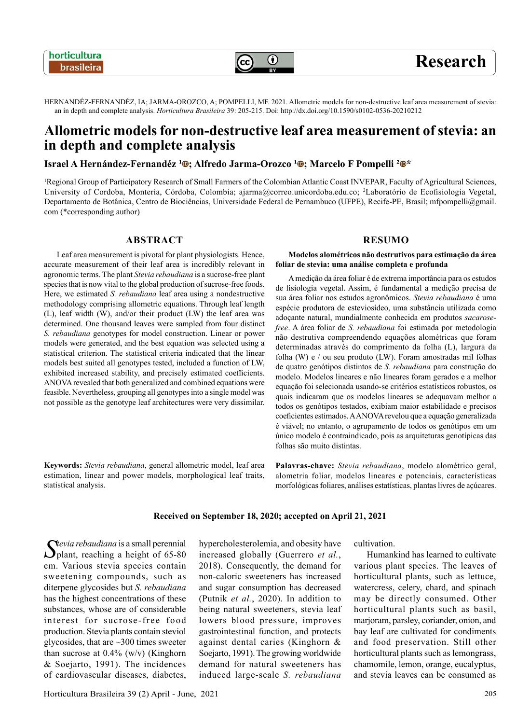$\bf(i)$ 

# **Research**

HERNANDÉZ-FERNANDÉZ, IA; JARMA-OROZCO, A; POMPELLI, MF. 2021. Allometric models for non-destructive leaf area measurement of stevia: an in depth and complete analysis. *Horticultura Brasileira* 39: 205-215. Doi: http://dx.doi.org/10.1590/s0102-0536-20210212

# **Allometric models for non-destructive leaf area measurement of stevia: an in depth and complete analysis**

# **Israel A Hernández-Fernandéz <sup>1</sup>©; Alfredo Jarma-Orozco <sup>1</sup>©; Marcelo F Pompelli <sup>2</sup><sup>©\*</sup>**

1 Regional Group of Participatory Research of Small Farmers of the Colombian Atlantic Coast INVEPAR, Faculty of Agricultural Sciences, University of Cordoba, Montería, Córdoba, Colombia; [ajarma@correo.unicordoba.edu.co;](mailto:ajarma@correo.unicordoba.edu.co) 2 Laboratório de Ecofisiologia Vegetal, Departamento de Botânica, Centro de Biociências, Universidade Federal de Pernambuco (UFPE), Recife-PE, Brasil; [mfpompelli@gmail.](mailto:mfpompelli@gmail.com) [com](mailto:mfpompelli@gmail.com) (\*corresponding author)

#### **ABSTRACT**

Leaf area measurement is pivotal for plant physiologists. Hence, accurate measurement of their leaf area is incredibly relevant in agronomic terms. The plant *Stevia rebaudiana* is a sucrose-free plant species that is now vital to the global production of sucrose-free foods. Here, we estimated *S. rebaudiana* leaf area using a nondestructive methodology comprising allometric equations. Through leaf length (L), leaf width (W), and/or their product (LW) the leaf area was determined. One thousand leaves were sampled from four distinct *S. rebaudiana* genotypes for model construction. Linear or power models were generated, and the best equation was selected using a statistical criterion. The statistical criteria indicated that the linear models best suited all genotypes tested, included a function of LW, exhibited increased stability, and precisely estimated coefficients. ANOVA revealed that both generalized and combined equations were feasible. Nevertheless, grouping all genotypes into a single model was not possible as the genotype leaf architectures were very dissimilar.

**Keywords:** *Stevia rebaudiana*, general allometric model, leaf area estimation, linear and power models, morphological leaf traits, statistical analysis.

# **RESUMO**

**Modelos alométricos não destrutivos para estimação da área foliar de stevia: uma análise completa e profunda**

A medição da área foliar é de extrema importância para os estudos de fisiologia vegetal. Assim, é fundamental a medição precisa de sua área foliar nos estudos agronômicos. *Stevia rebaudiana* é uma espécie produtora de esteviosídeo, uma substância utilizada como adoçante natural, mundialmente conhecida em produtos *sacarosefree*. A área foliar de *S. rebaudiana* foi estimada por metodologia não destrutiva compreendendo equações alométricas que foram determinadas através do comprimento da folha (L), largura da folha (W) e / ou seu produto (LW). Foram amostradas mil folhas de quatro genótipos distintos de *S. rebaudiana* para construção do modelo. Modelos lineares e não lineares foram gerados e a melhor equação foi selecionada usando-se critérios estatísticos robustos, os quais indicaram que os modelos lineares se adequavam melhor a todos os genótipos testados, exibiam maior estabilidade e precisos coeficientes estimados. A ANOVA revelou que a equação generalizada é viável; no entanto, o agrupamento de todos os genótipos em um único modelo é contraindicado, pois as arquiteturas genotípicas das folhas são muito distintas.

**Palavras-chave:** *Stevia rebaudiana*, modelo alométrico geral, alometria foliar, modelos lineares e potenciais, características morfológicas foliares, análises estatísticas, plantas livres de açúcares.

#### **Received on September 18, 2020; accepted on April 21, 2021**

Stevia rebaudiana is a small perennial<br>
plant, reaching a height of 65-80 cm. Various stevia species contain sweetening compounds, such as diterpene glycosides but *S. rebaudiana* has the highest concentrations of these substances, whose are of considerable interest for sucrose-free food production. Stevia plants contain steviol glycosides, that are  $\sim$ 300 times sweeter than sucrose at  $0.4\%$  (w/v) (Kinghorn & Soejarto, 1991). The incidences of cardiovascular diseases, diabetes,

hypercholesterolemia, and obesity have increased globally (Guerrero *et al.*, 2018). Consequently, the demand for non-caloric sweeteners has increased and sugar consumption has decreased (Putnik *et al.*, 2020). In addition to being natural sweeteners, stevia leaf lowers blood pressure, improves gastrointestinal function, and protects against dental caries (Kinghorn & Soejarto, 1991). The growing worldwide demand for natural sweeteners has induced large-scale *S. rebaudiana*

cultivation.

Humankind has learned to cultivate various plant species. The leaves of horticultural plants, such as lettuce, watercress, celery, chard, and spinach may be directly consumed. Other horticultural plants such as basil, marjoram, parsley, coriander, onion, and bay leaf are cultivated for condiments and food preservation. Still other horticultural plants such as lemongrass, chamomile, lemon, orange, eucalyptus, and stevia leaves can be consumed as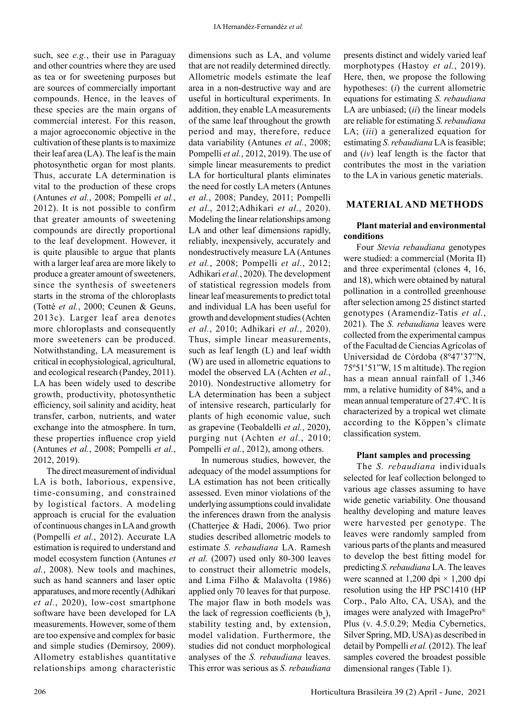such, see *e.g.*, their use in Paraguay and other countries where they are used as tea or for sweetening purposes but are sources of commercially important compounds. Hence, in the leaves of these species are the main organs of commercial interest. For this reason, a major agroeconomic objective in the cultivation of these plants is to maximize their leaf area (LA). The leaf is the main photosynthetic organ for most plants. Thus, accurate LA determination is vital to the production of these crops (Antunes *et al.*, 2008; Pompelli *et al.*, 2012). It is not possible to confirm that greater amounts of sweetening compounds are directly proportional to the leaf development. However, it is quite plausible to argue that plants with a larger leaf area are more likely to produce a greater amount of sweeteners, since the synthesis of sweeteners starts in the stroma of the chloroplasts (Totté *et al.*, 2000; Ceunen & Geuns, 2013c). Larger leaf area denotes more chloroplasts and consequently more sweeteners can be produced. Notwithstanding, LA measurement is critical in ecophysiological, agricultural, and ecological research (Pandey, 2011). LA has been widely used to describe growth, productivity, photosynthetic efficiency, soil salinity and acidity, heat transfer, carbon, nutrients, and water exchange into the atmosphere. In turn, these properties influence crop yield (Antunes *et al.*, 2008; Pompelli *et al.*, 2012, 2019).

The direct measurement of individual LA is both, laborious, expensive, time-consuming, and constrained by logistical factors. A modeling approach is crucial for the evaluation of continuous changes in LA and growth (Pompelli *et al.*, 2012). Accurate LA estimation is required to understand and model ecosystem function (Antunes *et al.*, 2008). New tools and machines, such as hand scanners and laser optic apparatuses, and more recently (Adhikari *et al.*, 2020), low-cost smartphone software have been developed for LA measurements. However, some of them are too expensive and complex for basic and simple studies (Demirsoy, 2009). Allometry establishes quantitative relationships among characteristic

dimensions such as LA, and volume that are not readily determined directly. Allometric models estimate the leaf area in a non-destructive way and are useful in horticultural experiments. In addition, they enable LA measurements of the same leaf throughout the growth period and may, therefore, reduce data variability (Antunes *et al.*, 2008; Pompelli *et al.*, 2012, 2019). The use of simple linear measurements to predict LA for horticultural plants eliminates the need for costly LA meters (Antunes *et al.*, 2008; Pandey, 2011; Pompelli *et al.*, 2012;Adhikari *et al.*, 2020). Modeling the linear relationships among LA and other leaf dimensions rapidly, reliably, inexpensively, accurately and nondestructively measure LA (Antunes *et al.*, 2008; Pompelli *et al.*, 2012; Adhikari *et al.*, 2020). The development of statistical regression models from linear leaf measurements to predict total and individual LA has been useful for growth and development studies (Achten *et al.*, 2010; Adhikari *et al.*, 2020). Thus, simple linear measurements, such as leaf length (L) and leaf width (W) are used in allometric equations to model the observed LA (Achten *et al.*, 2010). Nondestructive allometry for LA determination has been a subject of intensive research, particularly for plants of high economic value, such as grapevine (Teobaldelli *et al.*, 2020), purging nut (Achten *et al.*, 2010; Pompelli *et al.*, 2012), among others.

In numerous studies, however, the adequacy of the model assumptions for LA estimation has not been critically assessed. Even minor violations of the underlying assumptions could invalidate the inferences drawn from the analysis (Chatterjee & Hadi, 2006). Two prior studies described allometric models to estimate *S. rebaudiana* LA. Ramesh *et al.* (2007) used only 80-300 leaves to construct their allometric models, and Lima Filho & Malavolta (1986) applied only 70 leaves for that purpose. The major flaw in both models was the lack of regression coefficients  $(b_n)$ , stability testing and, by extension, model validation. Furthermore, the studies did not conduct morphological analyses of the *S. rebaudiana* leaves. This error was serious as *S. rebaudiana*

presents distinct and widely varied leaf morphotypes (Hastoy *et al.*, 2019). Here, then, we propose the following hypotheses: (*i*) the current allometric equations for estimating *S. rebaudiana* LA are unbiased; (*ii*) the linear models are reliable for estimating *S. rebaudiana* LA; (*iii*) a generalized equation for estimating *S. rebaudiana* LA is feasible; and (*iv*) leaf length is the factor that contributes the most in the variation to the LA in various genetic materials.

# **MATERIAL AND METHODS**

# **Plant material and environmental conditions**

Four *Stevia rebaudiana* genotypes were studied: a commercial (Morita II) and three experimental (clones 4, 16, and 18), which were obtained by natural pollination in a controlled greenhouse after selection among 25 distinct started genotypes (Aramendiz-Tatis *et al.*, 2021). The *S. rebaudiana* leaves were collected from the experimental campus of the Facultad de Ciencias Agrícolas of Universidad de Córdoba (8º47'37"N, 75º51'51"W, 15 m altitude). The region has a mean annual rainfall of 1,346 mm, a relative humidity of 84%, and a mean annual temperature of 27.4ºC. It is characterized by a tropical wet climate according to the Köppen's climate classification system.

#### **Plant samples and processing**

The *S. rebaudiana* individuals selected for leaf collection belonged to various age classes assuming to have wide genetic variability. One thousand healthy developing and mature leaves were harvested per genotype. The leaves were randomly sampled from various parts of the plants and measured to develop the best fitting model for predicting *S. rebaudiana* LA. The leaves were scanned at 1,200 dpi  $\times$  1,200 dpi resolution using the HP PSC1410 (HP Corp., Palo Alto, CA, USA), and the images were analyzed with ImagePro® Plus (v. 4.5.0.29; Media Cybernetics, Silver Spring, MD, USA) as described in detail by Pompelli *et al.* (2012). The leaf samples covered the broadest possible dimensional ranges (Table 1).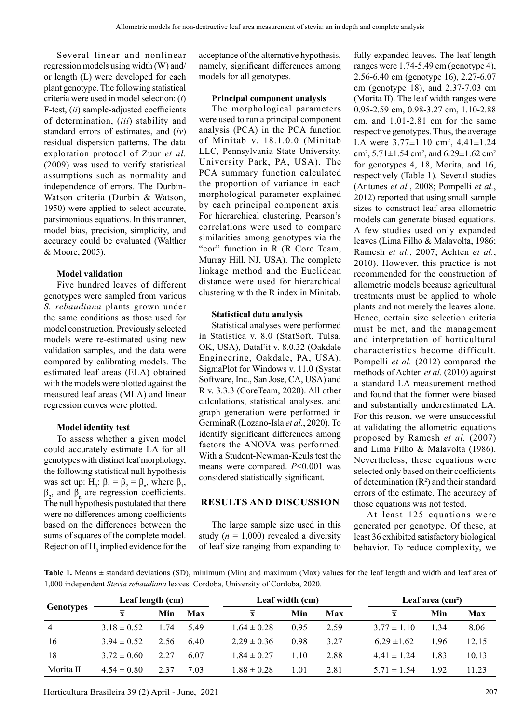Several linear and nonlinear regression models using width (W) and/ or length (L) were developed for each plant genotype. The following statistical criteria were used in model selection: (*i*) F-test, (*ii*) sample-adjusted coefficients of determination, (*iii*) stability and standard errors of estimates, and (*iv*) residual dispersion patterns. The data exploration protocol of Zuur *et al.* (2009) was used to verify statistical assumptions such as normality and independence of errors. The Durbin-Watson criteria (Durbin & Watson, 1950) were applied to select accurate, parsimonious equations. In this manner, model bias, precision, simplicity, and accuracy could be evaluated (Walther & Moore, 2005).

# **Model validation**

Five hundred leaves of different genotypes were sampled from various *S. rebaudiana* plants grown under the same conditions as those used for model construction. Previously selected models were re-estimated using new validation samples, and the data were compared by calibrating models. The estimated leaf areas (ELA) obtained with the models were plotted against the measured leaf areas (MLA) and linear regression curves were plotted.

# **Model identity test**

To assess whether a given model could accurately estimate LA for all genotypes with distinct leaf morphology, the following statistical null hypothesis was set up:  $H_0: \beta_1 = \beta_2 = \beta_n$ , where  $\beta_1$ ,  $β_2$ , and  $β_n$  are regression coefficients. The null hypothesis postulated that there were no differences among coefficients based on the differences between the sums of squares of the complete model. Rejection of  $H_0$  implied evidence for the acceptance of the alternative hypothesis, namely, significant differences among models for all genotypes.

#### **Principal component analysis**

The morphological parameters were used to run a principal component analysis (PCA) in the PCA function of Minitab v. 18.1.0.0 (Minitab LLC, Pennsylvania State University, University Park, PA, USA). The PCA summary function calculated the proportion of variance in each morphological parameter explained by each principal component axis. For hierarchical clustering, Pearson's correlations were used to compare similarities among genotypes via the "cor" function in R (R Core Team, Murray Hill, NJ, USA). The complete linkage method and the Euclidean distance were used for hierarchical clustering with the R index in Minitab.

# **Statistical data analysis**

Statistical analyses were performed in Statistica v. 8.0 (StatSoft, Tulsa, OK, USA), DataFit v. 8.0.32 (Oakdale Engineering, Oakdale, PA, USA), SigmaPlot for Windows v. 11.0 (Systat Software, Inc., San Jose, CA, USA) and R v. 3.3.3 (CoreTeam, 2020). All other calculations, statistical analyses, and graph generation were performed in GerminaR (Lozano-Isla *et al.*, 2020). To identify significant differences among factors the ANOVA was performed. With a Student-Newman-Keuls test the means were compared. *P*<0.001 was considered statistically significant.

# **RESULTS AND DISCUSSION**

The large sample size used in this study  $(n = 1,000)$  revealed a diversity of leaf size ranging from expanding to fully expanded leaves. The leaf length ranges were 1.74-5.49 cm (genotype 4), 2.56-6.40 cm (genotype 16), 2.27-6.07 cm (genotype 18), and 2.37-7.03 cm (Morita II). The leaf width ranges were 0.95-2.59 cm, 0.98-3.27 cm, 1.10-2.88 cm, and 1.01-2.81 cm for the same respective genotypes. Thus, the average LA were  $3.77 \pm 1.10$  cm<sup>2</sup>,  $4.41 \pm 1.24$ cm<sup>2</sup>, 5.71 $\pm$ 1.54 cm<sup>2</sup>, and 6.29 $\pm$ 1.62 cm<sup>2</sup> for genotypes 4, 18, Morita, and 16, respectively (Table 1). Several studies (Antunes *et al.*, 2008; Pompelli *et al.*, 2012) reported that using small sample sizes to construct leaf area allometric models can generate biased equations. A few studies used only expanded leaves (Lima Filho & Malavolta, 1986; Ramesh *et al.*, 2007; Achten *et al.*, 2010). However, this practice is not recommended for the construction of allometric models because agricultural treatments must be applied to whole plants and not merely the leaves alone. Hence, certain size selection criteria must be met, and the management and interpretation of horticultural characteristics become difficult. Pompelli *et al.* (2012) compared the methods of Achten *et al.* (2010) against a standard LA measurement method and found that the former were biased and substantially underestimated LA. For this reason, we were unsuccessful at validating the allometric equations proposed by Ramesh *et al.* (2007) and Lima Filho & Malavolta (1986). Nevertheless, these equations were selected only based on their coefficients of determination  $(R^2)$  and their standard errors of the estimate. The accuracy of those equations was not tested.

At least 125 equations were generated per genotype. Of these, at least 36 exhibited satisfactory biological behavior. To reduce complexity, we

Table 1. Means  $\pm$  standard deviations (SD), minimum (Min) and maximum (Max) values for the leaf length and width and leaf area of 1,000 independent *Stevia rebaudiana* leaves. Cordoba, University of Cordoba, 2020.

| Genotypes      | Leaf length (cm)        |      |      |                 | Leaf width (cm) |      | Leaf area $(cm2)$ |      |       |
|----------------|-------------------------|------|------|-----------------|-----------------|------|-------------------|------|-------|
|                | $\overline{\mathbf{x}}$ | Min  | Max  | X               | Min             | Max  | $\mathbf{x}$      | Min  | Max   |
| $\overline{4}$ | $3.18 \pm 0.52$         | 1.74 | 5.49 | $1.64 \pm 0.28$ | 0.95            | 2.59 | $3.77 \pm 1.10$   | 1.34 | 8.06  |
| -16            | $3.94 \pm 0.52$         | 2.56 | 6.40 | $2.29 \pm 0.36$ | 0.98            | 3.27 | $6.29 \pm 1.62$   | 1.96 | 12.15 |
| 18             | $3.72 \pm 0.60$         | 2.27 | 6.07 | $1.84 \pm 0.27$ | 1.10            | 2.88 | $4.41 \pm 1.24$   | 1.83 | 10.13 |
| Morita II      | $4.54 \pm 0.80$         | 2.37 | 7.03 | $1.88 \pm 0.28$ | 1.01            | 2.81 | $5.71 \pm 1.54$   | 1.92 | 11.23 |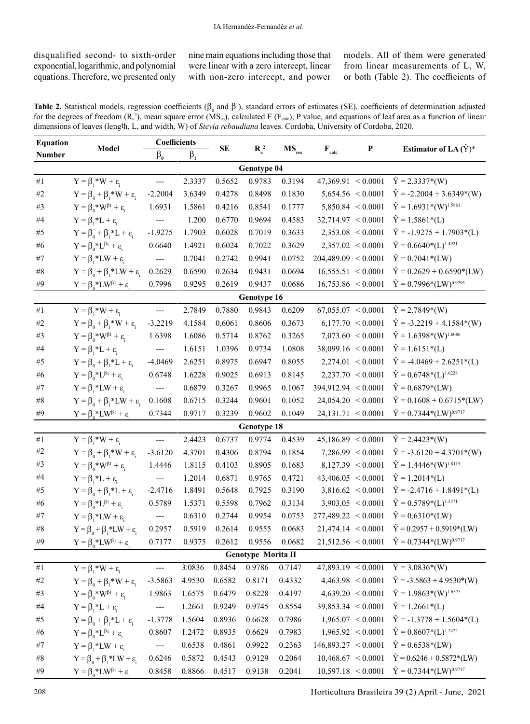disqualified second- to sixth-order exponential, logarithmic, and polynomial equations. Therefore, we presented only

nine main equations including those that were linear with a zero intercept, linear with non-zero intercept, and power models. All of them were generated from linear measurements of L, W, or both (Table 2). The coefficients of

| Table 2. Statistical models, regression coefficients ( $\beta_0$ and $\beta_1$ ), standard errors of estimates (SE), coefficients of determination adjusted                   |
|-------------------------------------------------------------------------------------------------------------------------------------------------------------------------------|
| for the degrees of freedom $(R_a^2)$ , mean square error $(MS_{ss})$ , calculated F $(F_{cal}$ <sub>calc</sub> ), P value, and equations of leaf area as a function of linear |
| dimensions of leaves (length, L, and width, W) of <i>Stevia rebaudiana</i> leaves. Cordoba, University of Cordoba, 2020.                                                      |

| <b>Equation</b>    |                                                               | Coefficients             |             |        |             |            |                            | P                     | Estimator of LA $(\hat{Y})^*$    |  |
|--------------------|---------------------------------------------------------------|--------------------------|-------------|--------|-------------|------------|----------------------------|-----------------------|----------------------------------|--|
| Number             | Model                                                         | $\beta_{0}$              | $\beta_{1}$ | SE     | $R_a^2$     | $MS_{res}$ | $\mathbf{F}_{\text{calc}}$ |                       |                                  |  |
| Genotype 04        |                                                               |                          |             |        |             |            |                            |                       |                                  |  |
| $\#1$              | $Y = \beta_1 * W + \varepsilon$                               | ---                      | 2.3337      | 0.5652 | 0.9783      | 0.3194     | $47,369.91 \le 0.0001$     |                       | $\hat{Y} = 2.3337*(W)$           |  |
| #2                 | $Y = \beta_0 + \beta_1 * W + \varepsilon_1$                   | $-2.2004$                | 3.6349      | 0.4278 | 0.8498      | 0.1830     |                            | $5,654.56 \le 0.0001$ | $\hat{Y} = -2.2004 + 3.6349*(W)$ |  |
| $\#3$              | $Y = \beta_0^* W^{\beta_1} + \varepsilon$                     | 1.6931                   | 1.5861      | 0.4216 | 0.8541      | 0.1777     |                            | $5,850.84 \le 0.0001$ | $\hat{Y} = 1.6931*(W)^{1.5861}$  |  |
| #4                 | $Y = \beta_1 * L + \varepsilon_1$                             | ---                      | 1.200       | 0.6770 | 0.9694      | 0.4583     | $32,714.97 \le 0.0001$     |                       | $\hat{Y} = 1.5861*(L)$           |  |
| $#5$               | $Y = \beta_0 + \beta_1 * L + \varepsilon_i$                   | $-1.9275$                | 1.7903      | 0.6028 | 0.7019      | 0.3633     |                            | $2,353.08 \le 0.0001$ | $\hat{Y} = -1.9275 + 1.7903*(L)$ |  |
| $\#6$              | $Y = \beta_0^* L^{\beta_1} + \varepsilon$                     | 0.6640                   | 1.4921      | 0.6024 | 0.7022      | 0.3629     |                            | $2,357.02 \le 0.0001$ | $\hat{Y} = 0.6640*(L)^{1.4921}$  |  |
| #7                 | $Y = \beta_1 * LW + \epsilon_i$                               | $\qquad \qquad - -$      | 0.7041      | 0.2742 | 0.9941      | 0.0752     | 204,489.09 < 0.0001        |                       | $\hat{Y} = 0.7041*(LW)$          |  |
| $\#8$              | $Y = \beta_0 + \beta_1 * LW + \epsilon_i$                     | 0.2629                   | 0.6590      | 0.2634 | 0.9431      | 0.0694     | $16,555.51 \le 0.0001$     |                       | $\hat{Y} = 0.2629 + 0.6590*(LW)$ |  |
| #9                 | $Y = \beta_0^*LW^{\beta 1} + \varepsilon_i$                   | 0.7996                   | 0.9295      | 0.2619 | 0.9437      | 0.0686     | $16,753.86 \le 0.0001$     |                       | $\hat{Y} = 0.7996*(LW)^{0.9295}$ |  |
|                    | Genotype 16                                                   |                          |             |        |             |            |                            |                       |                                  |  |
| $\#1$              | $Y = \beta_1 * W + \varepsilon$                               | ---                      | 2.7849      | 0.7880 | 0.9843      | 0.6209     | 67,055.07 < 0.0001         |                       | $\hat{Y} = 2.7849*(W)$           |  |
| $\#2$              | $Y = \beta_0 + \beta_1 * W + \varepsilon_1$                   | $-3.2219$                | 4.1584      | 0.6061 | 0.8606      | 0.3673     |                            | $6,177.70 \le 0.0001$ | $\hat{Y} = -3.2219 + 4.1584*(W)$ |  |
| #3                 | $Y = \beta_0^* W^{\beta_1} + \varepsilon$                     | 1.6398                   | 1.6086      | 0.5714 | 0.8762      | 0.3265     |                            | 7,073.60 < 0.0001     | $\hat{Y} = 1.6398*(W)^{1.6086}$  |  |
| $\#4$              | $Y = \beta_1 * L + \varepsilon_i$                             | ---                      | 1.6151      | 1.0396 | 0.9734      | 1.0808     | $38,099.16 \le 0.0001$     |                       | $\hat{Y} = 1.6151*(L)$           |  |
| #5                 | $Y = \beta_0 + \beta_1 * L + \varepsilon_i$                   | $-4.0469$                | 2.6251      | 0.8975 | 0.6947      | 0.8055     |                            | $2,274.01 \le 0.0001$ | $\hat{Y} = -4.0469 + 2.6251*(L)$ |  |
| #6                 | $Y = \beta_0^* L^{\beta_1} + \varepsilon$                     | 0.6748                   | 1.6228      | 0.9025 | 0.6913      | 0.8145     |                            | $2,237.70 \le 0.0001$ | $\hat{Y} = 0.6748*(L)^{1.6228}$  |  |
| $\#7$              | $Y = \beta_1 * LW + \varepsilon_1$                            | ---                      | 0.6879      | 0.3267 | 0.9965      | 0.1067     | 394,912.94 < 0.0001        |                       | $\hat{Y} = 0.6879*(LW)$          |  |
| $\#8$              | $Y = \beta_0 + \beta_1 * LW + \varepsilon_1$                  | 0.1608                   | 0.6715      | 0.3244 | 0.9601      | 0.1052     | $24,054.20 \le 0.0001$     |                       | $\hat{Y} = 0.1608 + 0.6715*(LW)$ |  |
| #9                 | $Y = \beta_0^*LW^{\beta 1} + \varepsilon$                     | 0.7344                   | 0.9717      | 0.3239 | 0.9602      | 0.1049     | $24,131.71 \le 0.0001$     |                       | $\hat{Y} = 0.7344*(LW)^{0.9717}$ |  |
|                    |                                                               |                          |             |        | Genotype 18 |            |                            |                       |                                  |  |
| $\#1$              | $Y = \beta_1 * W + \varepsilon_i$                             | $\overline{a}$           | 2.4423      | 0.6737 | 0.9774      | 0.4539     | $45,186.89 \le 0.0001$     |                       | $\hat{Y} = 2.4423*(W)$           |  |
| $\#2$              | $Y = \beta_0 + \beta_1^* W + \epsilon_i$                      | $-3.6120$                | 4.3701      | 0.4306 | 0.8794      | 0.1854     |                            | $7,286.99 \le 0.0001$ | $\hat{Y} = -3.6120 + 4.3701*(W)$ |  |
| $\#3$              | $Y = \beta_0^* W^{\beta_1} + \varepsilon$                     | 1.4446                   | 1.8115      | 0.4103 | 0.8905      | 0.1683     |                            | 8,127.39 < 0.0001     | $\hat{Y} = 1.4446*(W)^{1.8115}$  |  |
| #4                 | $Y = \beta_1 * L + \varepsilon$                               | $\hspace{0.05cm} \ldots$ | 1.2014      | 0.6871 | 0.9765      | 0.4721     | $43,406.05 \le 0.0001$     |                       | $\hat{Y} = 1.2014*(L)$           |  |
| $#5$               | $Y = \beta_0 + \beta_1 * L + \epsilon_i$                      | $-2.4716$                | 1.8491      | 0.5648 | 0.7925      | 0.3190     |                            | $3,816.62 \le 0.0001$ | $\hat{Y} = -2.4716 + 1.8491*(L)$ |  |
| $\#6$              | $Y = \beta_0^* L^{\beta_1} + \varepsilon$                     | 0.5789                   | 1.5371      | 0.5598 | 0.7962      | 0.3134     |                            | $3,903.05 \le 0.0001$ | $\hat{Y} = 0.5789*(L)^{1.5371}$  |  |
| $\#7$              | $Y = \beta_1 * LW + \varepsilon_1$                            | $\hspace{0.05cm} \ldots$ | 0.6310      | 0.2744 | 0.9954      | 0.0753     | $277,489.22 \le 0.0001$    |                       | $\hat{Y} = 0.6310*(LW)$          |  |
| $\#8$              | $Y = \beta_0 + \beta_1 * LW + \varepsilon_1$                  | 0.2957                   | 0.5919      | 0.2614 | 0.9555      | 0.0683     | $21,474.14 \le 0.0001$     |                       | $\hat{Y} = 0.2957 + 0.5919*(LW)$ |  |
| $\#9$              | $\label{eq:Y} Y = \beta_0^*L W^{\beta 1} + \epsilon_i$        | 0.7177                   | 0.9375      | 0.2612 | 0.9556      | 0.0682     | $21,512.56 \le 0.0001$     |                       | $\hat{Y} = 0.7344*(LW)^{0.9717}$ |  |
| Genotype Morita II |                                                               |                          |             |        |             |            |                            |                       |                                  |  |
| #1                 | $Y = \beta_1 * W + \varepsilon_i$                             | $---$                    | 3.0836      | 0.8454 | 0.9786      | 0.7147     | $47,893.19 \le 0.0001$     |                       | $\hat{Y} = 3.0836*(W)$           |  |
| $\#2$              | $Y = \beta_0 + \beta_1 * W + \varepsilon_1$                   | $-3.5863$                | 4.9530      | 0.6582 | 0.8171      | 0.4332     |                            | $4,463.98 \le 0.0001$ | $\hat{Y} = -3.5863 + 4.9530*(W)$ |  |
| #3                 | $Y = \beta_0^* W^{\beta_1} + \varepsilon$                     | 1.9863                   | 1.6575      | 0.6479 | 0.8228      | 0.4197     |                            | $4,639.20 \le 0.0001$ | $\hat{Y} = 1.9863*(W)^{1.6575}$  |  |
| $\#4$              | $Y = \beta_1 * L + \varepsilon_i$                             | $\overline{\phantom{a}}$ | 1.2661      | 0.9249 | 0.9745      | 0.8554     | 39,853.34 < 0.0001         |                       | $\hat{Y} = 1.2661*(L)$           |  |
| $\#5$              | $Y = \beta_0 + \beta_1 * L + \varepsilon_i$                   | $-1.3778$                | 1.5604      | 0.8936 | 0.6628      | 0.7986     |                            | $1,965.07 \le 0.0001$ | $\hat{Y} = -1.3778 + 1.5604*(L)$ |  |
| $\#6$              | $Y = \beta_0^* L^{\beta_1} + \varepsilon$                     | 0.8607                   | 1.2472      | 0.8935 | 0.6629      | 0.7983     |                            | $1,965.92 \le 0.0001$ | $\hat{Y} = 0.8607*(L)^{1.2472}$  |  |
| $\#7$              | $Y = \beta_1 * LW + \varepsilon_1$                            | $\hspace{0.05cm} \ldots$ | 0.6538      | 0.4861 | 0.9922      | 0.2363     | 146,893.27 < 0.0001        |                       | $\hat{Y} = 0.6538*(LW)$          |  |
| #8                 | $Y = \beta_0 + \beta_1 * LW + \varepsilon_1$                  | 0.6246                   | 0.5872      | 0.4543 | 0.9129      | 0.2064     | $10,468.67 \le 0.0001$     |                       | $\hat{Y} = 0.6246 + 0.5872*(LW)$ |  |
| #9                 | $Y = \beta_0^*L W^{\beta 1} + \epsilon_i^{\phantom{\dagger}}$ | 0.8458                   | 0.8866      | 0.4517 | 0.9138      | 0.2041     | $10,597.18 \le 0.0001$     |                       | $\hat{Y} = 0.7344*(LW)^{0.9717}$ |  |

208 Horticultura Brasileira 39 (2) April - June, 2021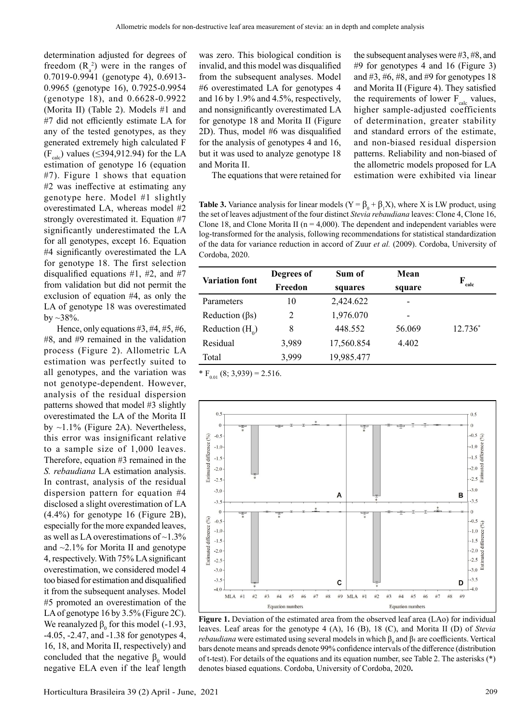determination adjusted for degrees of freedom  $(R_a^2)$  were in the ranges of 0.7019-0.9941 (genotype 4), 0.6913- 0.9965 (genotype 16), 0.7925-0.9954 (genotype 18), and 0.6628-0.9922 (Morita II) (Table 2). Models #1 and #7 did not efficiently estimate LA for any of the tested genotypes, as they generated extremely high calculated F  $(F_{\text{calc}})$  values (≤394,912.94) for the LA estimation of genotype 16 (equation #7). Figure 1 shows that equation #2 was ineffective at estimating any genotype here. Model #1 slightly overestimated LA, whereas model #2 strongly overestimated it. Equation #7 significantly underestimated the LA for all genotypes, except 16. Equation #4 significantly overestimated the LA for genotype 18. The first selection disqualified equations  $#1, #2,$  and  $#7$ from validation but did not permit the exclusion of equation #4, as only the LA of genotype 18 was overestimated by  $\sim$  38%.

Hence, only equations  $#3, #4, #5, #6,$ #8, and #9 remained in the validation process (Figure 2). Allometric LA estimation was perfectly suited to all genotypes, and the variation was not genotype-dependent. However, analysis of the residual dispersion patterns showed that model #3 slightly overestimated the LA of the Morita II by  $\sim$ 1.1% (Figure 2A). Nevertheless, this error was insignificant relative to a sample size of 1,000 leaves. Therefore, equation #3 remained in the *S. rebaudiana* LA estimation analysis. In contrast, analysis of the residual dispersion pattern for equation #4 disclosed a slight overestimation of LA (4.4%) for genotype 16 (Figure 2B), especially for the more expanded leaves, as well as LA overestimations of ~1.3% and  $\sim$ 2.1% for Morita II and genotype 4, respectively. With 75% LA significant overestimation, we considered model 4 too biased for estimation and disqualified it from the subsequent analyses. Model #5 promoted an overestimation of the LA of genotype 16 by 3.5% (Figure 2C). We reanalyzed  $\beta_0$  for this model (-1.93, -4.05, -2.47, and -1.38 for genotypes 4, 16, 18, and Morita II, respectively) and concluded that the negative  $\beta_0$  would negative ELA even if the leaf length

was zero. This biological condition is invalid, and this model was disqualified from the subsequent analyses. Model #6 overestimated LA for genotypes 4 and 16 by 1.9% and 4.5%, respectively, and nonsignificantly overestimated LA for genotype 18 and Morita II (Figure 2D). Thus, model #6 was disqualified for the analysis of genotypes 4 and 16, but it was used to analyze genotype 18 and Morita II.

the subsequent analyses were #3, #8, and #9 for genotypes 4 and 16 (Figure 3) and #3, #6, #8, and #9 for genotypes 18 and Morita II (Figure 4). They satisfied the requirements of lower  $F_{\text{calc}}$  values, higher sample-adjusted coefficients of determination, greater stability and standard errors of the estimate, and non-biased residual dispersion patterns. Reliability and non-biased of the allometric models proposed for LA estimation were exhibited via linear

The equations that were retained for

**Table 3.** Variance analysis for linear models  $(Y = \beta_0 + \beta_1 X)$ , where X is LW product, using the set of leaves adjustment of the four distinct *Stevia rebaudiana* leaves: Clone 4, Clone 16, Clone 18, and Clone Morita II ( $n = 4,000$ ). The dependent and independent variables were log-transformed for the analysis, following recommendations for statistical standardization of the data for variance reduction in accord of Zuur *et al.* (2009). Cordoba, University of Cordoba, 2020.

| <b>Variation font</b> | Degrees of | Sum of     | Mean   | F         |  |
|-----------------------|------------|------------|--------|-----------|--|
|                       | Freedon    | squares    | square | calc      |  |
| Parameters            | 10         | 2,424.622  |        |           |  |
| Reduction $(\beta s)$ | 2          | 1,976.070  |        |           |  |
| Reduction $(H_0)$     | 8          | 448.552    | 56.069 | $12.736*$ |  |
| Residual              | 3,989      | 17,560.854 | 4.402  |           |  |
| Total                 | 3,999      | 19,985.477 |        |           |  |

 $* F_{0.01} (8; 3,939) = 2.516.$ 



**Figure 1.** Deviation of the estimated area from the observed leaf area (LAo) for individual leaves. Leaf areas for the genotype 4 (A), 16 (B), 18 (C), and Morita II (D) of *Stevia rebaudiana* were estimated using several models in which  $\beta_0$  and  $\beta_1$  are coefficients. Vertical bars denote means and spreads denote 99% confidence intervals of the difference (distribution of t-test). For details of the equations and its equation number, see Table 2. The asterisks (\*) denotes biased equations. Cordoba, University of Cordoba, 2020**.**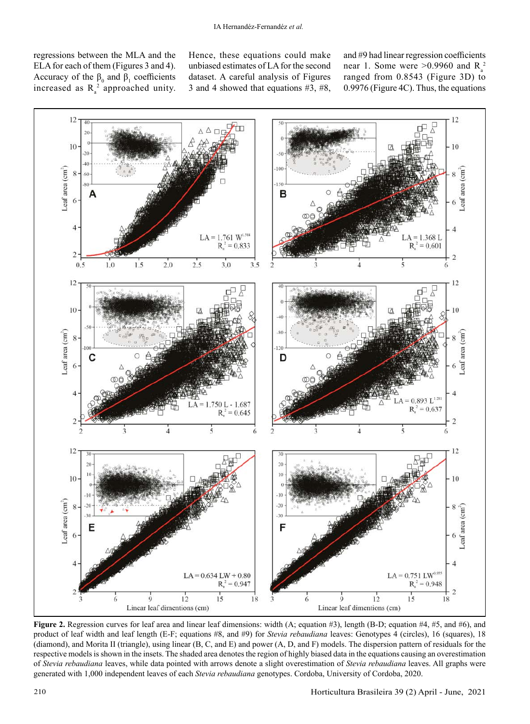regressions between the MLA and the ELA for each of them (Figures 3 and 4). Accuracy of the  $\beta_0$  and  $\beta_1$  coefficients increased as  $R_a^2$  approached unity. Hence, these equations could make unbiased estimates of LA for the second dataset. A careful analysis of Figures 3 and 4 showed that equations #3, #8, and #9 had linear regression coefficients near 1. Some were  $>0.9960$  and  $R_a^2$ ranged from 0.8543 (Figure 3D) to 0.9976 (Figure 4C). Thus, the equations



**Figure 2.** Regression curves for leaf area and linear leaf dimensions: width (A; equation #3), length (B-D; equation #4, #5, and #6), and product of leaf width and leaf length (E-F; equations #8, and #9) for *Stevia rebaudiana* leaves: Genotypes 4 (circles), 16 (squares), 18 (diamond), and Morita II (triangle), using linear (B, C, and E) and power (A, D, and F) models. The dispersion pattern of residuals for the respective models is shown in the insets. The shaded area denotes the region of highly biased data in the equations causing an overestimation of *Stevia rebaudiana* leaves, while data pointed with arrows denote a slight overestimation of *Stevia rebaudiana* leaves. All graphs were generated with 1,000 independent leaves of each *Stevia rebaudiana* genotypes. Cordoba, University of Cordoba, 2020.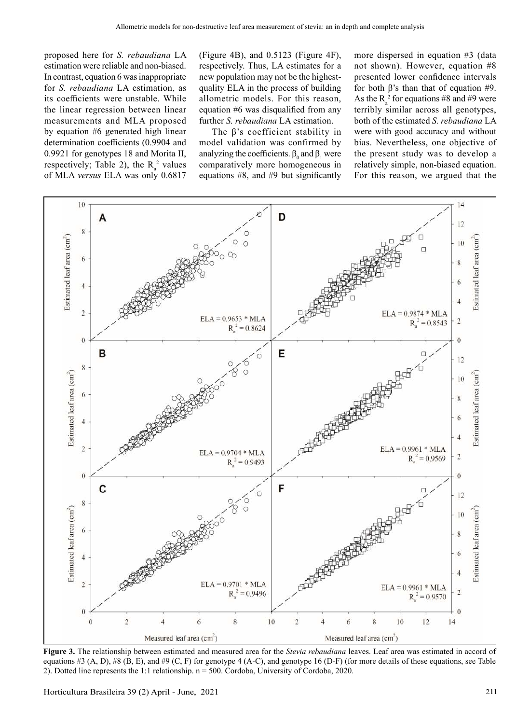proposed here for *S. rebaudiana* LA estimation were reliable and non-biased. In contrast, equation 6 was inappropriate for *S. rebaudiana* LA estimation, as its coefficients were unstable. While the linear regression between linear measurements and MLA proposed by equation #6 generated high linear determination coefficients (0.9904 and 0.9921 for genotypes 18 and Morita II, respectively; Table 2), the  $R_a^2$  values of MLA *versus* ELA was only 0.6817

(Figure 4B), and 0.5123 (Figure 4F), respectively. Thus, LA estimates for a new population may not be the highestquality ELA in the process of building allometric models. For this reason, equation #6 was disqualified from any further *S. rebaudiana* LA estimation.

The β's coefficient stability in model validation was confirmed by analyzing the coefficients.  $\beta_0$  and  $\beta_1$  were comparatively more homogeneous in equations #8, and #9 but significantly more dispersed in equation #3 (data not shown). However, equation #8 presented lower confidence intervals for both β's than that of equation #9. As the  $R_a^2$  for equations #8 and #9 were terribly similar across all genotypes, both of the estimated *S. rebaudiana* LA were with good accuracy and without bias. Nevertheless, one objective of the present study was to develop a relatively simple, non-biased equation. For this reason, we argued that the



**Figure 3.** The relationship between estimated and measured area for the *Stevia rebaudiana* leaves. Leaf area was estimated in accord of equations #3  $(A, D)$ , #8  $(B, E)$ , and #9  $(C, F)$  for genotype 4  $(A-C)$ , and genotype 16  $(D-F)$  (for more details of these equations, see Table 2). Dotted line represents the 1:1 relationship. n = 500. Cordoba, University of Cordoba, 2020.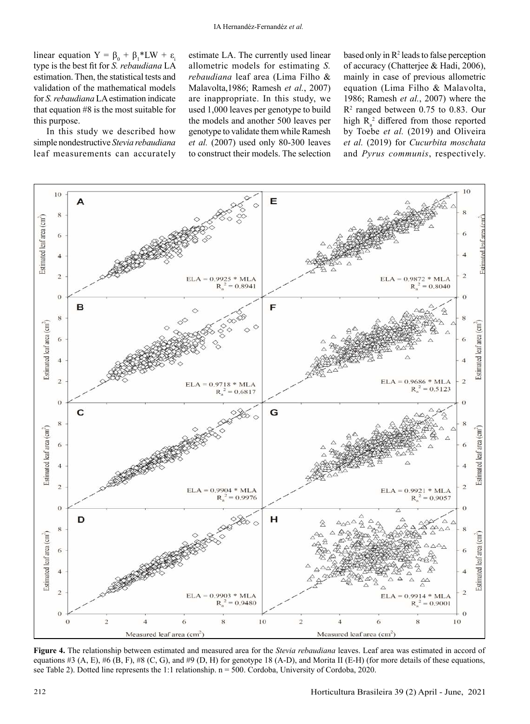linear equation  $Y = \beta_0 + \beta_1 * LW + \varepsilon_1$ type is the best fit for *S. rebaudiana* LA estimation. Then, the statistical tests and validation of the mathematical models for *S. rebaudiana* LA estimation indicate that equation #8 is the most suitable for this purpose.

In this study we described how simple nondestructive *Stevia rebaudiana* leaf measurements can accurately estimate LA. The currently used linear allometric models for estimating *S. rebaudiana* leaf area (Lima Filho & Malavolta,1986; Ramesh *et al.*, 2007) are inappropriate. In this study, we used 1,000 leaves per genotype to build the models and another 500 leaves per genotype to validate them while Ramesh *et al.* (2007) used only 80-300 leaves to construct their models. The selection

based only in  $\mathbb{R}^2$  leads to false perception of accuracy (Chatterjee & Hadi, 2006), mainly in case of previous allometric equation (Lima Filho & Malavolta, 1986; Ramesh *et al.*, 2007) where the R2 ranged between 0.75 to 0.83. Our high  $R_a^2$  differed from those reported by Toebe *et al.* (2019) and Oliveira *et al.* (2019) for *Cucurbita moschata* and *Pyrus communis*, respectively.



**Figure 4.** The relationship between estimated and measured area for the *Stevia rebaudiana* leaves. Leaf area was estimated in accord of equations #3 (A, E), #6 (B, F), #8 (C, G), and #9 (D, H) for genotype 18 (A-D), and Morita II (E-H) (for more details of these equations, see Table 2). Dotted line represents the 1:1 relationship. n = 500. Cordoba, University of Cordoba, 2020.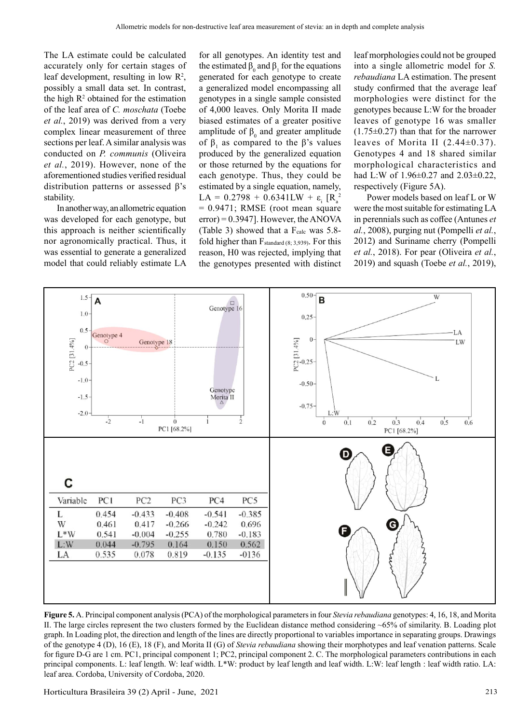The LA estimate could be calculated accurately only for certain stages of leaf development, resulting in low  $\mathbb{R}^2$ , possibly a small data set. In contrast, the high  $R<sup>2</sup>$  obtained for the estimation of the leaf area of *C. moschata* (Toebe *et al.*, 2019) was derived from a very complex linear measurement of three sections per leaf. A similar analysis was conducted on *P. communis* (Oliveira *et al.*, 2019). However, none of the aforementioned studies verified residual distribution patterns or assessed β's stability.

In another way, an allometric equation was developed for each genotype, but this approach is neither scientifically nor agronomically practical. Thus, it was essential to generate a generalized model that could reliably estimate LA for all genotypes. An identity test and the estimated  $\beta_0$  and  $\beta_1$  for the equations generated for each genotype to create a generalized model encompassing all genotypes in a single sample consisted of 4,000 leaves. Only Morita II made biased estimates of a greater positive amplitude of  $\beta_0$  and greater amplitude of  $\beta_1$  as compared to the  $\beta$ 's values produced by the generalized equation or those returned by the equations for each genotype. Thus, they could be estimated by a single equation, namely,  $LA = 0.2798 + 0.6341LW + \varepsilon_i [R_a^2]$ = 0.9471; RMSE (root mean square error) = 0.3947]. However, the ANOVA (Table 3) showed that a  $F_{calc}$  was 5.8fold higher than  $F_{standard (8; 3,939)}$ . For this reason, H0 was rejected, implying that the genotypes presented with distinct

leaf morphologies could not be grouped into a single allometric model for *S. rebaudiana* LA estimation. The present study confirmed that the average leaf morphologies were distinct for the genotypes because L:W for the broader leaves of genotype 16 was smaller  $(1.75\pm0.27)$  than that for the narrower leaves of Morita II  $(2.44\pm0.37)$ . Genotypes 4 and 18 shared similar morphological characteristics and had L:W of 1.96±0.27 and 2.03±0.22, respectively (Figure 5A).

Power models based on leaf L or W were the most suitable for estimating LA in perennials such as coffee (Antunes *et al.*, 2008), purging nut (Pompelli *et al.*, 2012) and Suriname cherry (Pompelli *et al.*, 2018). For pear (Oliveira *et al.*, 2019) and squash (Toebe *et al.*, 2019),



**Figure 5.** A. Principal component analysis (PCA) of the morphological parameters in four *Stevia rebaudiana* genotypes: 4, 16, 18, and Morita II. The large circles represent the two clusters formed by the Euclidean distance method considering ~65% of similarity. B. Loading plot graph. In Loading plot, the direction and length of the lines are directly proportional to variables importance in separating groups. Drawings of the genotype 4 (D), 16 (E), 18 (F), and Morita II (G) of *Stevia rebaudiana* showing their morphotypes and leaf venation patterns. Scale for figure D-G are 1 cm. PC1, principal component 1; PC2, principal component 2. C. The morphological parameters contributions in each principal components. L: leaf length. W: leaf width. L\*W: product by leaf length and leaf width. L:W: leaf length : leaf width ratio. LA: leaf area. Cordoba, University of Cordoba, 2020.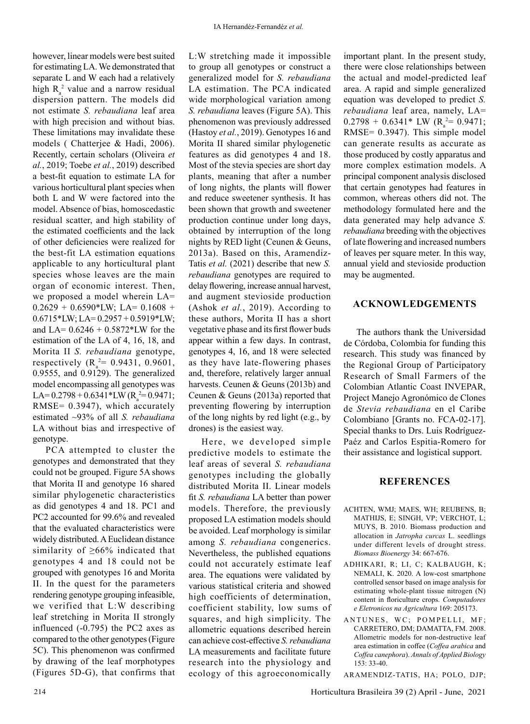however, linear models were best suited for estimating LA. We demonstrated that separate L and W each had a relatively high  $R_a^2$  value and a narrow residual dispersion pattern. The models did not estimate *S. rebaudiana* leaf area with high precision and without bias. These limitations may invalidate these models ( Chatterjee & Hadi, 2006). Recently, certain scholars (Oliveira *et al.*, 2019; Toebe *et al.*, 2019) described a best-fit equation to estimate LA for various horticultural plant species when both L and W were factored into the model. Absence of bias, homoscedastic residual scatter, and high stability of the estimated coefficients and the lack of other deficiencies were realized for the best-fit LA estimation equations applicable to any horticultural plant species whose leaves are the main organ of economic interest. Then, we proposed a model wherein LA=  $0.2629 + 0.6590*LW$ ; LA= 0.1608 +  $0.6715*LW$ ; LA= $0.2957+0.5919*LW$ ; and LA= 0.6246 + 0.5872\*LW for the estimation of the LA of 4, 16, 18, and Morita II *S. rebaudiana* genotype, respectively  $(R_a^2 = 0.9431, 0.9601,$ 0.9555, and 0.9129). The generalized model encompassing all genotypes was LA=  $0.2798 + 0.6341$  \*LW ( $R_a^2 = 0.9471$ ; RMSE= 0.3947), which accurately estimated ~93% of all *S. rebaudiana* LA without bias and irrespective of

genotype. PCA attempted to cluster the genotypes and demonstrated that they could not be grouped. Figure 5A shows that Morita II and genotype 16 shared similar phylogenetic characteristics as did genotypes 4 and 18. PC1 and PC2 accounted for 99.6% and revealed that the evaluated characteristics were widely distributed. A Euclidean distance similarity of ≥66% indicated that genotypes 4 and 18 could not be grouped with genotypes 16 and Morita II. In the quest for the parameters rendering genotype grouping infeasible, we verified that L:W describing leaf stretching in Morita II strongly influenced (-0.795) the PC2 axes as compared to the other genotypes (Figure 5C). This phenomenon was confirmed by drawing of the leaf morphotypes (Figures 5D-G), that confirms that

L:W stretching made it impossible to group all genotypes or construct a generalized model for *S. rebaudiana* LA estimation. The PCA indicated wide morphological variation among *S. rebaudiana* leaves (Figure 5A). This phenomenon was previously addressed (Hastoy *et al.*, 2019). Genotypes 16 and Morita II shared similar phylogenetic features as did genotypes 4 and 18. Most of the stevia species are short day plants, meaning that after a number of long nights, the plants will flower and reduce sweetener synthesis. It has been shown that growth and sweetener production continue under long days, obtained by interruption of the long nights by RED light (Ceunen & Geuns, 2013a). Based on this, Aramendiz-Tatis *et al.* (2021) describe that new *S. rebaudiana* genotypes are required to delay flowering, increase annual harvest, and augment stevioside production (Ashok *et al.*, 2019). According to these authors, Morita II has a short vegetative phase and its first flower buds appear within a few days. In contrast, genotypes 4, 16, and 18 were selected as they have late-flowering phases and, therefore, relatively larger annual harvests. Ceunen & Geuns (2013b) and Ceunen & Geuns (2013a) reported that preventing flowering by interruption of the long nights by red light (e.g., by drones) is the easiest way.

Here, we developed simple predictive models to estimate the leaf areas of several *S. rebaudiana* genotypes including the globally distributed Morita II. Linear models fit *S. rebaudiana* LA better than power models. Therefore, the previously proposed LA estimation models should be avoided. Leaf morphology is similar among *S. rebaudiana* congenerics. Nevertheless, the published equations could not accurately estimate leaf area. The equations were validated by various statistical criteria and showed high coefficients of determination, coefficient stability, low sums of squares, and high simplicity. The allometric equations described herein can achieve cost-effective *S. rebaudiana* LA measurements and facilitate future research into the physiology and ecology of this agroeconomically important plant. In the present study, there were close relationships between the actual and model-predicted leaf area. A rapid and simple generalized equation was developed to predict *S. rebaudiana* leaf area, namely, LA=  $0.2798 + 0.6341*$  LW (R<sub>a</sub><sup>2</sup>= 0.9471; RMSE= 0.3947). This simple model can generate results as accurate as those produced by costly apparatus and more complex estimation models. A principal component analysis disclosed that certain genotypes had features in common, whereas others did not. The methodology formulated here and the data generated may help advance *S. rebaudiana* breeding with the objectives of late flowering and increased numbers of leaves per square meter. In this way, annual yield and stevioside production may be augmented.

# **ACKNOWLEDGEMENTS**

The authors thank the Universidad de Córdoba, Colombia for funding this research. This study was financed by the Regional Group of Participatory Research of Small Farmers of the Colombian Atlantic Coast INVEPAR, Project Manejo Agronómico de Clones de *Stevia rebaudiana* en el Caribe Colombiano [Grants no. FCA-02-17]. Special thanks to Drs. Luis Rodríguez-Paéz and Carlos Espitia-Romero for their assistance and logistical support.

# **REFERENCES**

- ACHTEN, WMJ; MAES, WH; REUBENS, B; MATHIJS, E; SINGH, VP; VERCHOT, L; MUYS, B. 2010. Biomass production and allocation in *Jatropha curcas* L. seedlings under different levels of drought stress. *Biomass Bioenergy* 34: 667-676.
- ADHIKARI, R; LI, C; KALBAUGH, K; NEMALI, K. 2020. A low-cost smartphone controlled sensor based on image analysis for estimating whole-plant tissue nitrogen (N) content in floriculture crops. *Computadores e Eletronicos na Agricultura* 169: 205173.
- ANTUNES, WC; POMPELLI, MF; CARRETERO, DM; DAMATTA, FM. 2008. Allometric models for non-destructive leaf area estimation in coffee (*Coffea arabica* and *Coffea canephora*). *Annals of Applied Biology* 153: 33-40.

ARAMENDIZ-TATIS, HA; POLO, DJP;